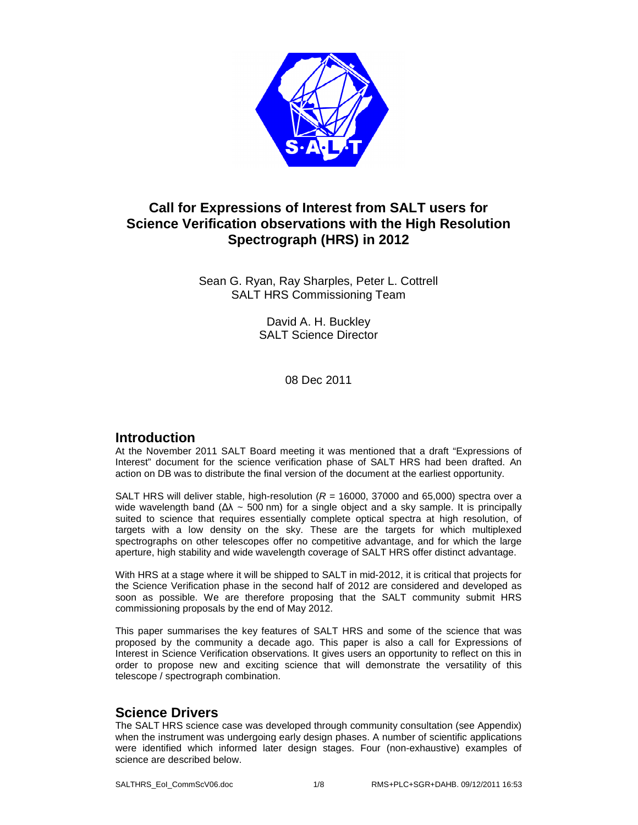

# **Call for Expressions of Interest from SALT users for Science Verification observations with the High Resolution Spectrograph (HRS) in 2012**

Sean G. Ryan, Ray Sharples, Peter L. Cottrell SALT HRS Commissioning Team

> David A. H. Buckley SALT Science Director

> > 08 Dec 2011

# **Introduction**

At the November 2011 SALT Board meeting it was mentioned that a draft "Expressions of Interest" document for the science verification phase of SALT HRS had been drafted. An action on DB was to distribute the final version of the document at the earliest opportunity.

SALT HRS will deliver stable, high-resolution  $(R = 16000, 37000$  and 65,000) spectra over a wide wavelength band ( $Δλ$  ~ 500 nm) for a single object and a sky sample. It is principally suited to science that requires essentially complete optical spectra at high resolution, of targets with a low density on the sky. These are the targets for which multiplexed spectrographs on other telescopes offer no competitive advantage, and for which the large aperture, high stability and wide wavelength coverage of SALT HRS offer distinct advantage.

With HRS at a stage where it will be shipped to SALT in mid-2012, it is critical that projects for the Science Verification phase in the second half of 2012 are considered and developed as soon as possible. We are therefore proposing that the SALT community submit HRS commissioning proposals by the end of May 2012.

This paper summarises the key features of SALT HRS and some of the science that was proposed by the community a decade ago. This paper is also a call for Expressions of Interest in Science Verification observations. It gives users an opportunity to reflect on this in order to propose new and exciting science that will demonstrate the versatility of this telescope / spectrograph combination.

# **Science Drivers**

The SALT HRS science case was developed through community consultation (see Appendix) when the instrument was undergoing early design phases. A number of scientific applications were identified which informed later design stages. Four (non-exhaustive) examples of science are described below.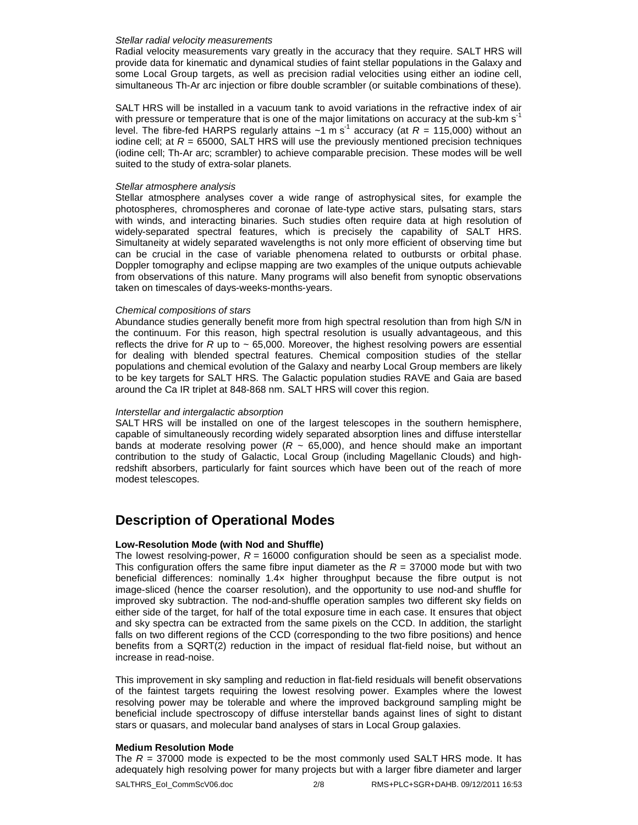#### Stellar radial velocity measurements

Radial velocity measurements vary greatly in the accuracy that they require. SALT HRS will provide data for kinematic and dynamical studies of faint stellar populations in the Galaxy and some Local Group targets, as well as precision radial velocities using either an iodine cell, simultaneous Th-Ar arc injection or fibre double scrambler (or suitable combinations of these).

SALT HRS will be installed in a vacuum tank to avoid variations in the refractive index of air with pressure or temperature that is one of the major limitations on accuracy at the sub-km  $s<sup>-1</sup>$ level. The fibre-fed HARPS regularly attains  $\sim 1$  m s<sup>-1</sup> accuracy (at  $R = 115,000$ ) without an iodine cell; at  $R = 65000$ , SALT HRS will use the previously mentioned precision techniques (iodine cell; Th-Ar arc; scrambler) to achieve comparable precision. These modes will be well suited to the study of extra-solar planets.

#### Stellar atmosphere analysis

Stellar atmosphere analyses cover a wide range of astrophysical sites, for example the photospheres, chromospheres and coronae of late-type active stars, pulsating stars, stars with winds, and interacting binaries. Such studies often require data at high resolution of widely-separated spectral features, which is precisely the capability of SALT HRS. Simultaneity at widely separated wavelengths is not only more efficient of observing time but can be crucial in the case of variable phenomena related to outbursts or orbital phase. Doppler tomography and eclipse mapping are two examples of the unique outputs achievable from observations of this nature. Many programs will also benefit from synoptic observations taken on timescales of days-weeks-months-years.

### Chemical compositions of stars

Abundance studies generally benefit more from high spectral resolution than from high S/N in the continuum. For this reason, high spectral resolution is usually advantageous, and this reflects the drive for R up to  $\sim$  65,000. Moreover, the highest resolving powers are essential for dealing with blended spectral features. Chemical composition studies of the stellar populations and chemical evolution of the Galaxy and nearby Local Group members are likely to be key targets for SALT HRS. The Galactic population studies RAVE and Gaia are based around the Ca IR triplet at 848-868 nm. SALT HRS will cover this region.

### Interstellar and intergalactic absorption

SALT HRS will be installed on one of the largest telescopes in the southern hemisphere, capable of simultaneously recording widely separated absorption lines and diffuse interstellar bands at moderate resolving power ( $R \sim 65,000$ ), and hence should make an important contribution to the study of Galactic, Local Group (including Magellanic Clouds) and highredshift absorbers, particularly for faint sources which have been out of the reach of more modest telescopes.

# **Description of Operational Modes**

### **Low-Resolution Mode (with Nod and Shuffle)**

The lowest resolving-power,  $R = 16000$  configuration should be seen as a specialist mode. This configuration offers the same fibre input diameter as the  $R = 37000$  mode but with two beneficial differences: nominally 1.4× higher throughput because the fibre output is not image-sliced (hence the coarser resolution), and the opportunity to use nod-and shuffle for improved sky subtraction. The nod-and-shuffle operation samples two different sky fields on either side of the target, for half of the total exposure time in each case. It ensures that object and sky spectra can be extracted from the same pixels on the CCD. In addition, the starlight falls on two different regions of the CCD (corresponding to the two fibre positions) and hence benefits from a SQRT(2) reduction in the impact of residual flat-field noise, but without an increase in read-noise.

This improvement in sky sampling and reduction in flat-field residuals will benefit observations of the faintest targets requiring the lowest resolving power. Examples where the lowest resolving power may be tolerable and where the improved background sampling might be beneficial include spectroscopy of diffuse interstellar bands against lines of sight to distant stars or quasars, and molecular band analyses of stars in Local Group galaxies.

### **Medium Resolution Mode**

The  $R = 37000$  mode is expected to be the most commonly used SALT HRS mode. It has adequately high resolving power for many projects but with a larger fibre diameter and larger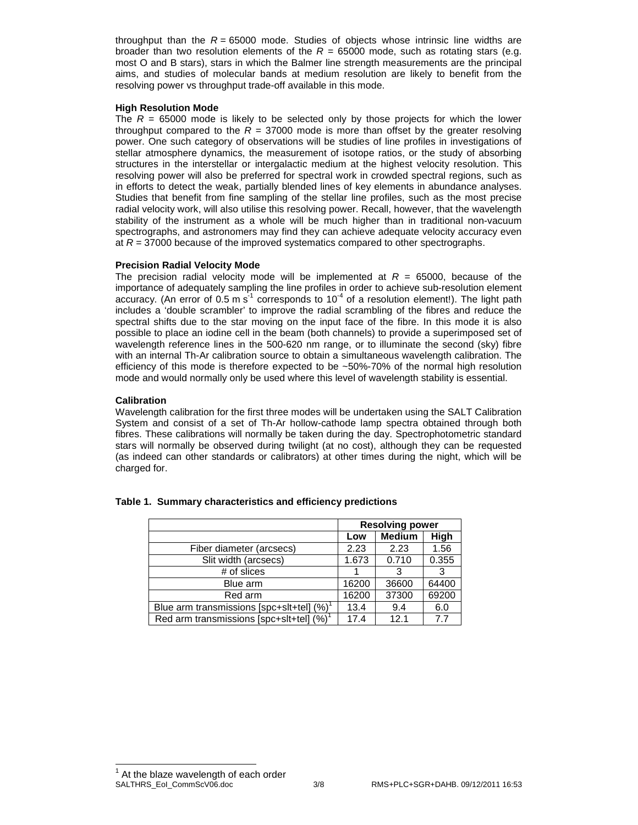throughput than the  $R = 65000$  mode. Studies of objects whose intrinsic line widths are broader than two resolution elements of the  $R = 65000$  mode, such as rotating stars (e.g. most O and B stars), stars in which the Balmer line strength measurements are the principal aims, and studies of molecular bands at medium resolution are likely to benefit from the resolving power vs throughput trade-off available in this mode.

### **High Resolution Mode**

The  $R = 65000$  mode is likely to be selected only by those projects for which the lower throughput compared to the  $R = 37000$  mode is more than offset by the greater resolving power. One such category of observations will be studies of line profiles in investigations of stellar atmosphere dynamics, the measurement of isotope ratios, or the study of absorbing structures in the interstellar or intergalactic medium at the highest velocity resolution. This resolving power will also be preferred for spectral work in crowded spectral regions, such as in efforts to detect the weak, partially blended lines of key elements in abundance analyses. Studies that benefit from fine sampling of the stellar line profiles, such as the most precise radial velocity work, will also utilise this resolving power. Recall, however, that the wavelength stability of the instrument as a whole will be much higher than in traditional non-vacuum spectrographs, and astronomers may find they can achieve adequate velocity accuracy even at  $R = 37000$  because of the improved systematics compared to other spectrographs.

### **Precision Radial Velocity Mode**

The precision radial velocity mode will be implemented at  $R = 65000$ , because of the importance of adequately sampling the line profiles in order to achieve sub-resolution element accuracy. (An error of 0.5 m s<sup>-1</sup> corresponds to  $10^{-4}$  of a resolution element!). The light path includes a 'double scrambler' to improve the radial scrambling of the fibres and reduce the spectral shifts due to the star moving on the input face of the fibre. In this mode it is also possible to place an iodine cell in the beam (both channels) to provide a superimposed set of wavelength reference lines in the 500-620 nm range, or to illuminate the second (sky) fibre with an internal Th-Ar calibration source to obtain a simultaneous wavelength calibration. The efficiency of this mode is therefore expected to be ~50%-70% of the normal high resolution mode and would normally only be used where this level of wavelength stability is essential.

### **Calibration**

Wavelength calibration for the first three modes will be undertaken using the SALT Calibration System and consist of a set of Th-Ar hollow-cathode lamp spectra obtained through both fibres. These calibrations will normally be taken during the day. Spectrophotometric standard stars will normally be observed during twilight (at no cost), although they can be requested (as indeed can other standards or calibrators) at other times during the night, which will be charged for.

|                                               | <b>Resolving power</b> |               |       |
|-----------------------------------------------|------------------------|---------------|-------|
|                                               | Low                    | <b>Medium</b> | High  |
| Fiber diameter (arcsecs)                      | 2.23                   | 2.23          | 1.56  |
| Slit width (arcsecs)                          | 1.673                  | 0.710         | 0.355 |
| # of slices                                   |                        |               |       |
| Blue arm                                      | 16200                  | 36600         | 64400 |
| Red arm                                       | 16200                  | 37300         | 69200 |
| Blue arm transmissions [spc+slt+tel] $(\%)^T$ | 13.4                   | 9.4           | 6.0   |
| Red arm transmissions [spc+slt+tel] (%)       | 17.4                   | 12.1          | 7.7   |

|  |  | Table 1. Summary characteristics and efficiency predictions |  |  |
|--|--|-------------------------------------------------------------|--|--|
|--|--|-------------------------------------------------------------|--|--|

 $\overline{a}$ 

SALTHRS\_EoI\_CommScV06.doc 3/8 RMS+PLC+SGR+DAHB. 09/12/2011 16:53 1 At the blaze wavelength of each order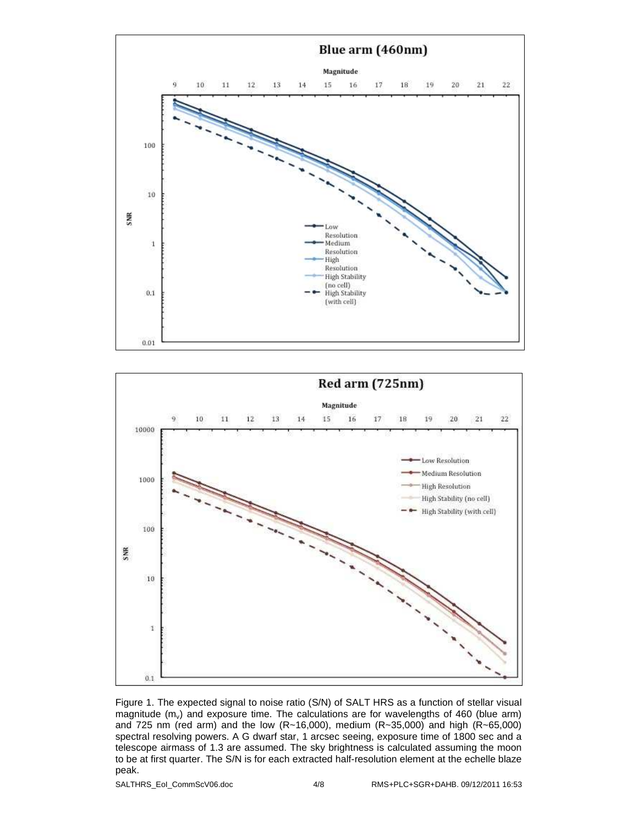



Figure 1. The expected signal to noise ratio (S/N) of SALT HRS as a function of stellar visual magnitude  $(m<sub>v</sub>)$  and exposure time. The calculations are for wavelengths of 460 (blue arm) and 725 nm (red arm) and the low (R~16,000), medium (R~35,000) and high (R~65,000) spectral resolving powers. A G dwarf star, 1 arcsec seeing, exposure time of 1800 sec and a telescope airmass of 1.3 are assumed. The sky brightness is calculated assuming the moon to be at first quarter. The S/N is for each extracted half-resolution element at the echelle blaze peak.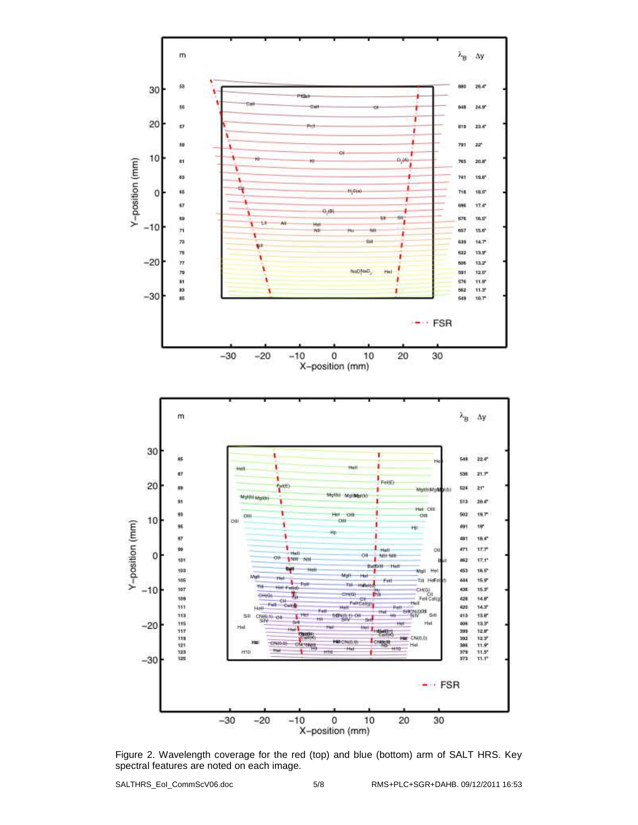

Figure 2. Wavelength coverage for the red (top) and blue (bottom) arm of SALT HRS. Key spectral features are noted on each image.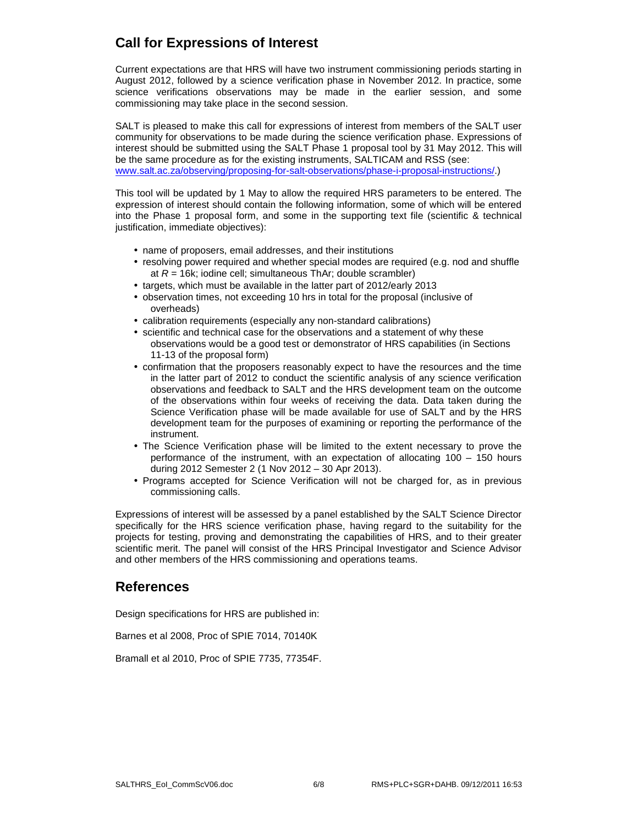# **Call for Expressions of Interest**

Current expectations are that HRS will have two instrument commissioning periods starting in August 2012, followed by a science verification phase in November 2012. In practice, some science verifications observations may be made in the earlier session, and some commissioning may take place in the second session.

SALT is pleased to make this call for expressions of interest from members of the SALT user community for observations to be made during the science verification phase. Expressions of interest should be submitted using the SALT Phase 1 proposal tool by 31 May 2012. This will be the same procedure as for the existing instruments, SALTICAM and RSS (see: www.salt.ac.za/observing/proposing-for-salt-observations/phase-i-proposal-instructions/.)

This tool will be updated by 1 May to allow the required HRS parameters to be entered. The expression of interest should contain the following information, some of which will be entered into the Phase 1 proposal form, and some in the supporting text file (scientific & technical justification, immediate objectives):

- name of proposers, email addresses, and their institutions
- resolving power required and whether special modes are required (e.g. nod and shuffle at  $R = 16k$ ; iodine cell; simultaneous ThAr; double scrambler)
- targets, which must be available in the latter part of 2012/early 2013
- observation times, not exceeding 10 hrs in total for the proposal (inclusive of overheads)
- calibration requirements (especially any non-standard calibrations)
- scientific and technical case for the observations and a statement of why these observations would be a good test or demonstrator of HRS capabilities (in Sections 11-13 of the proposal form)
- confirmation that the proposers reasonably expect to have the resources and the time in the latter part of 2012 to conduct the scientific analysis of any science verification observations and feedback to SALT and the HRS development team on the outcome of the observations within four weeks of receiving the data. Data taken during the Science Verification phase will be made available for use of SALT and by the HRS development team for the purposes of examining or reporting the performance of the instrument.
- The Science Verification phase will be limited to the extent necessary to prove the performance of the instrument, with an expectation of allocating 100 – 150 hours during 2012 Semester 2 (1 Nov 2012 – 30 Apr 2013).
- Programs accepted for Science Verification will not be charged for, as in previous commissioning calls.

Expressions of interest will be assessed by a panel established by the SALT Science Director specifically for the HRS science verification phase, having regard to the suitability for the projects for testing, proving and demonstrating the capabilities of HRS, and to their greater scientific merit. The panel will consist of the HRS Principal Investigator and Science Advisor and other members of the HRS commissioning and operations teams.

## **References**

Design specifications for HRS are published in:

Barnes et al 2008, Proc of SPIE 7014, 70140K

Bramall et al 2010, Proc of SPIE 7735, 77354F.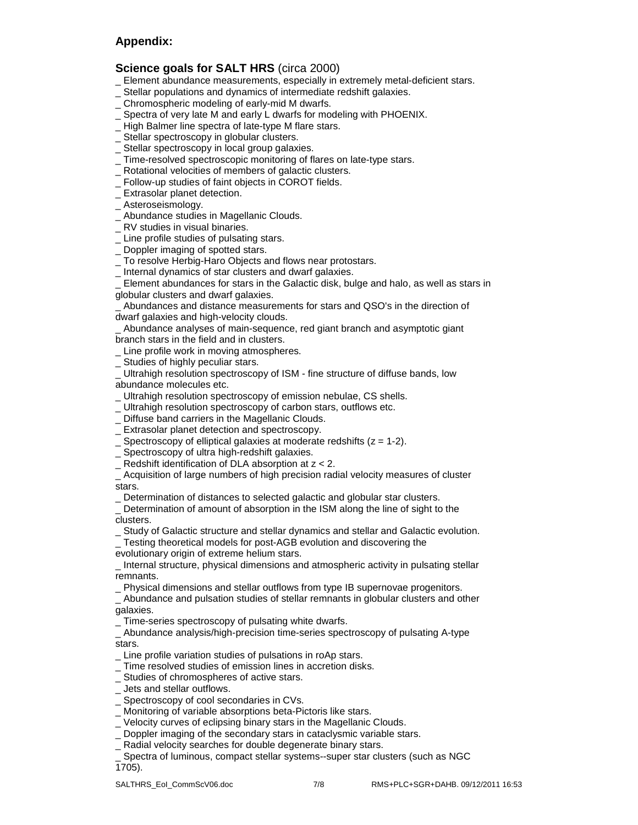## **Appendix:**

### **Science goals for SALT HRS** (circa 2000)

- Element abundance measurements, especially in extremely metal-deficient stars.
- \_ Stellar populations and dynamics of intermediate redshift galaxies.
- \_ Chromospheric modeling of early-mid M dwarfs.
- Spectra of very late M and early L dwarfs for modeling with PHOENIX.
- \_ High Balmer line spectra of late-type M flare stars.
- Stellar spectroscopy in globular clusters.
- Stellar spectroscopy in local group galaxies.
- \_ Time-resolved spectroscopic monitoring of flares on late-type stars.
- Rotational velocities of members of galactic clusters.
- \_ Follow-up studies of faint objects in COROT fields.
- \_ Extrasolar planet detection.
- \_ Asteroseismology.
- \_ Abundance studies in Magellanic Clouds.
- \_ RV studies in visual binaries.
- Line profile studies of pulsating stars.
- Doppler imaging of spotted stars.
- \_ To resolve Herbig-Haro Objects and flows near protostars.
- \_ Internal dynamics of star clusters and dwarf galaxies.

Element abundances for stars in the Galactic disk, bulge and halo, as well as stars in globular clusters and dwarf galaxies.

\_ Abundances and distance measurements for stars and QSO's in the direction of dwarf galaxies and high-velocity clouds.

\_ Abundance analyses of main-sequence, red giant branch and asymptotic giant branch stars in the field and in clusters.

- \_ Line profile work in moving atmospheres.
- Studies of highly peculiar stars.

Ultrahigh resolution spectroscopy of ISM - fine structure of diffuse bands, low abundance molecules etc.

- \_ Ultrahigh resolution spectroscopy of emission nebulae, CS shells.
- \_ Ultrahigh resolution spectroscopy of carbon stars, outflows etc.
- \_ Diffuse band carriers in the Magellanic Clouds.
- \_ Extrasolar planet detection and spectroscopy.
- $\overline{\phantom{a}}$  Spectroscopy of elliptical galaxies at moderate redshifts ( $z = 1-2$ ).
- \_ Spectroscopy of ultra high-redshift galaxies.
- $\_$  Redshift identification of DLA absorption at  $z < 2$ .

\_ Acquisition of large numbers of high precision radial velocity measures of cluster stars.

\_ Determination of distances to selected galactic and globular star clusters.

Determination of amount of absorption in the ISM along the line of sight to the clusters.

\_ Study of Galactic structure and stellar dynamics and stellar and Galactic evolution.

\_ Testing theoretical models for post-AGB evolution and discovering the

evolutionary origin of extreme helium stars.

Internal structure, physical dimensions and atmospheric activity in pulsating stellar remnants.

\_ Physical dimensions and stellar outflows from type IB supernovae progenitors.

\_ Abundance and pulsation studies of stellar remnants in globular clusters and other galaxies.

\_ Time-series spectroscopy of pulsating white dwarfs.

\_ Abundance analysis/high-precision time-series spectroscopy of pulsating A-type stars.

- \_ Line profile variation studies of pulsations in roAp stars.
- \_ Time resolved studies of emission lines in accretion disks.
- \_ Studies of chromospheres of active stars.
- \_ Jets and stellar outflows.
- Spectroscopy of cool secondaries in CVs.
- Monitoring of variable absorptions beta-Pictoris like stars.
- \_ Velocity curves of eclipsing binary stars in the Magellanic Clouds.
- Doppler imaging of the secondary stars in cataclysmic variable stars.
- Radial velocity searches for double degenerate binary stars.
- Spectra of luminous, compact stellar systems--super star clusters (such as NGC 1705).